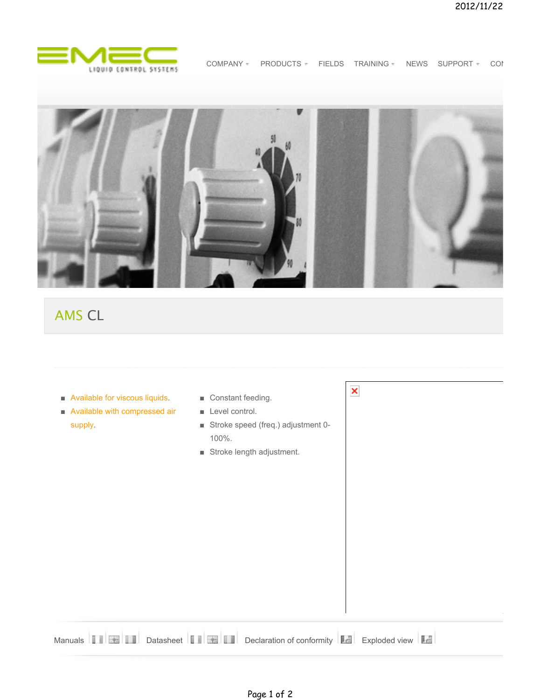

COMPANY = PRODUCTS = FIELDS TRAINING = NEWS SUPPORT = CON

×



# AMS CL

- Available for viscous liquids.
- Available with compressed air supply.
- Constant feeding.
- Level control.
- Stroke speed (freq.) adjustment 0-100%.
- Stroke length adjustment.

|  |  |  |  |  |  |  |  | Manuals <b>The Second State of State of State of State of State of Conformity   Legislation of Conformity   Legislation of Conformity   Legislation of Conformity   Legislation of Conformity   Legislation of Conformity   Legi</b> |  |  |  |
|--|--|--|--|--|--|--|--|--------------------------------------------------------------------------------------------------------------------------------------------------------------------------------------------------------------------------------------|--|--|--|
|--|--|--|--|--|--|--|--|--------------------------------------------------------------------------------------------------------------------------------------------------------------------------------------------------------------------------------------|--|--|--|